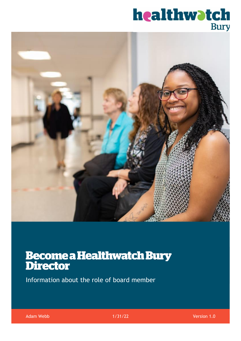# **healthwatch**<br>Bury



# **Become a Healthwatch Bury<br>Director**

Information about the role of board member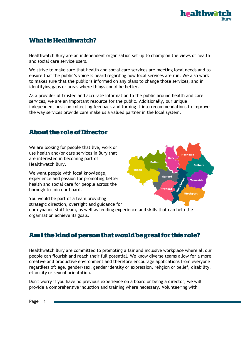## **What is Healthwatch?**

Healthwatch Bury are an independent organisation set up to champion the views of health and social care service users.

We strive to make sure that health and social care services are meeting local needs and to ensure that the public's voice is heard regarding how local services are run. We also work to makes sure that the public is informed on any plans to change those services, and in identifying gaps or areas where things could be better.

As a provider of trusted and accurate information to the public around health and care services, we are an important resource for the public. Additionally, our unique independent position collecting feedback and turning it into recommendations to improve the way services provide care make us a valued partner in the local system.

### **About the role of Director**

We are looking for people that live, work or use health and/or care services in Bury that are interested in becoming part of Healthwatch Bury.

We want people with local knowledge, experience and passion for promoting better health and social care for people across the borough to join our board.

You would be part of a team providing strategic direction, oversight and guidance for our dynamic staff team, as well as lending experience and skills that can help the organisation achieve its goals.

#### Am I the kind of person that would be great for this role?

Healthwatch Bury are committed to promoting a fair and inclusive workplace where all our people can flourish and reach their full potential. We know diverse teams allow for a more creative and productive environment and therefore encourage applications from everyone regardless of: age, gender/sex, gender identity or expression, religion or belief, disability, ethnicity or sexual orientation.

Don't worry if you have no previous experience on a board or being a director; we will provide a comprehensive induction and training where necessary. Volunteering with

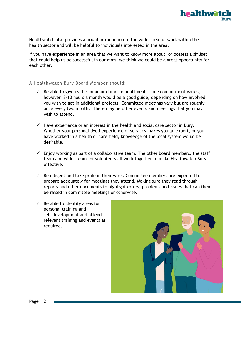

Healthwatch also provides a broad introduction to the wider field of work within the health sector and will be helpful to individuals interested in the area.

If you have experience in an area that we want to know more about, or possess a skillset that could help us be successful in our aims, we think we could be a great opportunity for each other.

#### A Healthwatch Bury Board Member should:

- $\checkmark$  Be able to give us the minimum time committment. Time commitment varies, however 3-10 hours a month would be a good guide, depending on how involved you wish to get in additional projects. Committee meetings vary but are roughly once every two months. There may be other events and meetings that you may wish to attend
- $\checkmark$  Have experience or an interest in the health and social care sector in Bury. Whether your personal lived experience of services makes you an expert, or you have worked in a health or care field, knowledge of the local system would be desirable.
- $\checkmark$  Enjoy working as part of a collaborative team. The other board members, the staff team and wider teams of volunteers all work together to make Healthwatch Bury effective.
- $\checkmark$  Be diligent and take pride in their work. Committee members are expected to prepare adequately for meetings they attend. Making sure they read through reports and other documents to highlight errors, problems and issues that can then be raised in committee meetings or otherwise.
- $\checkmark$  Be able to identify areas for personal training and self-development and attend relevant training and events as required.

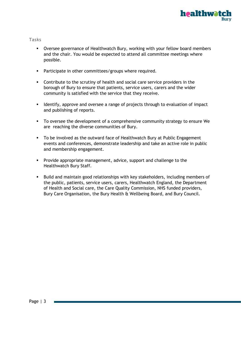

#### Tasks

- Oversee governance of Healthwatch Bury, working with your fellow board members and the chair. You would be expected to attend all committee meetings where possible.
- **•** Participate in other committees/groups where required.
- Contribute to the scrutiny of health and social care service providers in the borough of Bury to ensure that patients, service users, carers and the wider community is satisfied with the service that they receive.
- Identify, approve and oversee a range of projects through to evaluation of impact and publishing of reports.
- To oversee the development of a comprehensive community strategy to ensure We are reaching the diverse communities of Bury.
- To be involved as the outward face of Healthwatch Bury at Public Engagement events and conferences, demonstrate leadership and take an active role in public and membership engagement.
- Provide appropriate management, advice, support and challenge to the Healthwatch Bury Staff.
- Build and maintain good relationships with key stakeholders, including members of the public, patients, service users, carers, Healthwatch England, the Department of Health and Social care, the Care Quality Commission, NHS funded providers, Bury Care Organisation, the Bury Health & Wellbeing Board, and Bury Council.